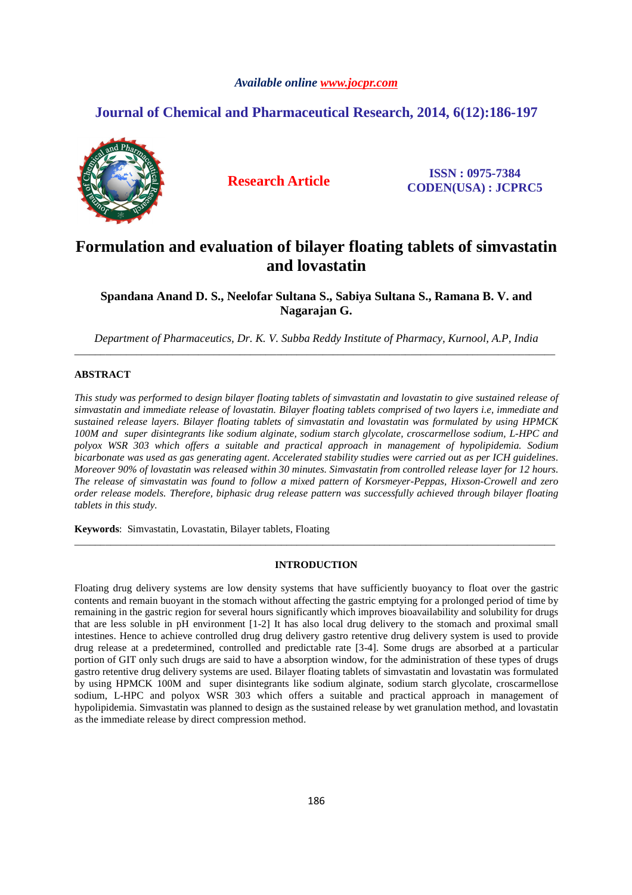# *Available online www.jocpr.com*

# **Journal of Chemical and Pharmaceutical Research, 2014, 6(12):186-197**



**Research Article ISSN : 0975-7384 CODEN(USA) : JCPRC5**

# **Formulation and evaluation of bilayer floating tablets of simvastatin and lovastatin**

**Spandana Anand D. S., Neelofar Sultana S., Sabiya Sultana S., Ramana B. V. and Nagarajan G.** 

*Department of Pharmaceutics, Dr. K. V. Subba Reddy Institute of Pharmacy, Kurnool, A.P, India*  \_\_\_\_\_\_\_\_\_\_\_\_\_\_\_\_\_\_\_\_\_\_\_\_\_\_\_\_\_\_\_\_\_\_\_\_\_\_\_\_\_\_\_\_\_\_\_\_\_\_\_\_\_\_\_\_\_\_\_\_\_\_\_\_\_\_\_\_\_\_\_\_\_\_\_\_\_\_\_\_\_\_\_\_\_\_\_\_\_\_\_\_\_

# **ABSTRACT**

*This study was performed to design bilayer floating tablets of simvastatin and lovastatin to give sustained release of simvastatin and immediate release of lovastatin. Bilayer floating tablets comprised of two layers i.e, immediate and sustained release layers. Bilayer floating tablets of simvastatin and lovastatin was formulated by using HPMCK 100M and super disintegrants like sodium alginate, sodium starch glycolate, croscarmellose sodium, L-HPC and polyox WSR 303 which offers a suitable and practical approach in management of hypolipidemia. Sodium bicarbonate was used as gas generating agent. Accelerated stability studies were carried out as per ICH guidelines. Moreover 90% of lovastatin was released within 30 minutes. Simvastatin from controlled release layer for 12 hours. The release of simvastatin was found to follow a mixed pattern of Korsmeyer-Peppas, Hixson-Crowell and zero order release models. Therefore, biphasic drug release pattern was successfully achieved through bilayer floating tablets in this study.* 

**Keywords**: Simvastatin, Lovastatin, Bilayer tablets, Floating

# **INTRODUCTION**

\_\_\_\_\_\_\_\_\_\_\_\_\_\_\_\_\_\_\_\_\_\_\_\_\_\_\_\_\_\_\_\_\_\_\_\_\_\_\_\_\_\_\_\_\_\_\_\_\_\_\_\_\_\_\_\_\_\_\_\_\_\_\_\_\_\_\_\_\_\_\_\_\_\_\_\_\_\_\_\_\_\_\_\_\_\_\_\_\_\_\_\_\_

Floating drug delivery systems are low density systems that have sufficiently buoyancy to float over the gastric contents and remain buoyant in the stomach without affecting the gastric emptying for a prolonged period of time by remaining in the gastric region for several hours significantly which improves bioavailability and solubility for drugs that are less soluble in pH environment [1-2] It has also local drug delivery to the stomach and proximal small intestines. Hence to achieve controlled drug drug delivery gastro retentive drug delivery system is used to provide drug release at a predetermined, controlled and predictable rate [3-4]. Some drugs are absorbed at a particular portion of GIT only such drugs are said to have a absorption window, for the administration of these types of drugs gastro retentive drug delivery systems are used. Bilayer floating tablets of simvastatin and lovastatin was formulated by using HPMCK 100M and super disintegrants like sodium alginate, sodium starch glycolate, croscarmellose sodium, L-HPC and polyox WSR 303 which offers a suitable and practical approach in management of hypolipidemia. Simvastatin was planned to design as the sustained release by wet granulation method, and lovastatin as the immediate release by direct compression method.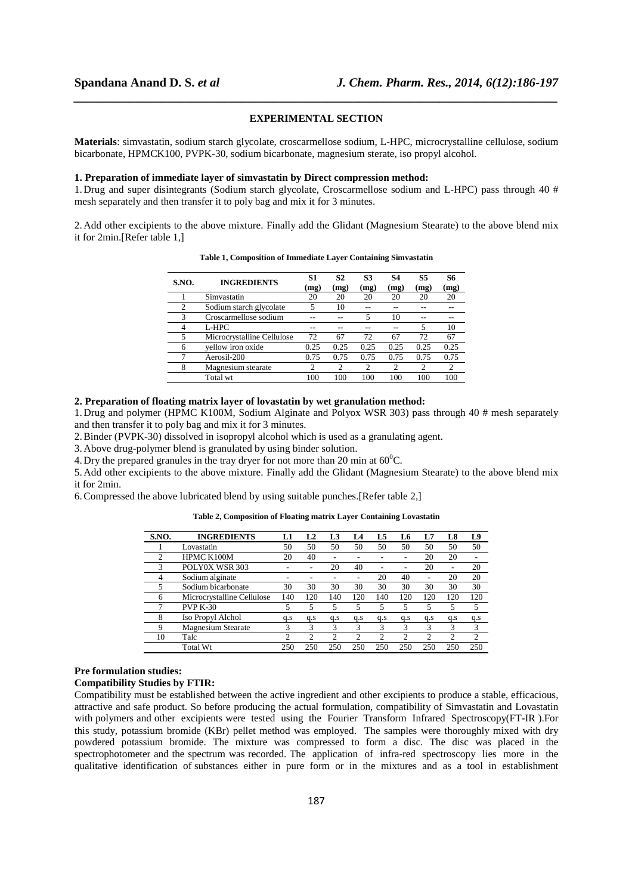# **EXPERIMENTAL SECTION**

*\_\_\_\_\_\_\_\_\_\_\_\_\_\_\_\_\_\_\_\_\_\_\_\_\_\_\_\_\_\_\_\_\_\_\_\_\_\_\_\_\_\_\_\_\_\_\_\_\_\_\_\_\_\_\_\_\_\_\_\_\_\_\_\_\_\_\_\_\_\_\_\_\_\_\_\_\_\_*

**Materials**: simvastatin, sodium starch glycolate, croscarmellose sodium, L-HPC, microcrystalline cellulose, sodium bicarbonate, HPMCK100, PVPK-30, sodium bicarbonate, magnesium sterate, iso propyl alcohol.

#### **1. Preparation of immediate layer of simvastatin by Direct compression method:**

1. Drug and super disintegrants (Sodium starch glycolate, Croscarmellose sodium and L-HPC) pass through 40 # mesh separately and then transfer it to poly bag and mix it for 3 minutes.

2. Add other excipients to the above mixture. Finally add the Glidant (Magnesium Stearate) to the above blend mix it for 2min.[Refer table 1,]

| S.NO. | <b>INGREDIENTS</b>         | S1<br>(mg) | S <sub>2</sub><br>(mg) | <b>S3</b><br>(mg) | S4<br>(mg)     | S5<br>(mg) | 86<br>(mg) |
|-------|----------------------------|------------|------------------------|-------------------|----------------|------------|------------|
|       | Simvastatin                | 20         | 20                     | 20                | 20             | 20         | 20         |
| 2     | Sodium starch glycolate    | 5          | 10                     |                   |                |            |            |
| 3     | Croscarmellose sodium      |            |                        | 5                 | 10             |            |            |
| 4     | L-HPC                      |            |                        |                   |                |            | 10         |
| 5     | Microcrystalline Cellulose | 72         | 67                     | 72                | 67             | 72         | 67         |
| 6     | vellow iron oxide          | 0.25       | 0.25                   | 0.25              | 0.25           | 0.25       | 0.25       |
|       | Aerosil-200                | 0.75       | 0.75                   | 0.75              | 0.75           | 0.75       | 0.75       |
| 8     | Magnesium stearate         | 2          | 2                      | $\mathfrak{D}$    | $\mathfrak{D}$ | 2          | 2          |
|       | Total wt                   | 100        | 100                    | 100               | 100            | 100        | 100        |

**Table 1, Composition of Immediate Layer Containing Simvastatin** 

# **2. Preparation of floating matrix layer of lovastatin by wet granulation method:**

1. Drug and polymer (HPMC K100M, Sodium Alginate and Polyox WSR 303) pass through 40 # mesh separately and then transfer it to poly bag and mix it for 3 minutes.

2.Binder (PVPK-30) dissolved in isopropyl alcohol which is used as a granulating agent.

3. Above drug-polymer blend is granulated by using binder solution.

4. Dry the prepared granules in the tray dryer for not more than 20 min at  $60^{\circ}$ C.

5. Add other excipients to the above mixture. Finally add the Glidant (Magnesium Stearate) to the above blend mix it for 2min.

6.Compressed the above lubricated blend by using suitable punches.[Refer table 2,]

### **Table 2, Composition of Floating matrix Layer Containing Lovastatin**

| S.NO.          | <b>INGREDIENTS</b>         | L1  | L <sub>2</sub> | L <sub>3</sub> | L4                       | L5             | L6             | L7             | L8  | L9  |
|----------------|----------------------------|-----|----------------|----------------|--------------------------|----------------|----------------|----------------|-----|-----|
|                | Lovastatin                 | 50  | 50             | 50             | 50                       | 50             | 50             | 50             | 50  | 50  |
| $\mathfrak{D}$ | HPMC K100M                 | 20  | 40             |                |                          |                | ۰              | 20             | 20  |     |
| 3              | POLY0X WSR 303             |     |                | 20             | 40                       | $\overline{a}$ | $\overline{a}$ | 20             |     | 20  |
| 4              | Sodium alginate            |     |                |                | $\overline{\phantom{0}}$ | 20             | 40             | $\overline{a}$ | 20  | 20  |
| 5              | Sodium bicarbonate         | 30  | 30             | 30             | 30                       | 30             | 30             | 30             | 30  | 30  |
| 6              | Microcrystalline Cellulose | 140 | 120            | 140            | 120                      | 140            | 120            | 120            | 120 | 120 |
| ┑              | <b>PVP K-30</b>            |     | 5              | 5              | 5                        | 5              | 5              | 5              | 5   | 5   |
| 8              | Iso Propyl Alchol          | q.s | q.s            | q.s            | q.s                      | q.s            | q.s            | a.s            | q.s | q.s |
| 9              | <b>Magnesium Stearate</b>  | 3   | 3              | 3              | 3                        | 3              | 3              | 3              | 3   | 3   |
| 10             | Talc                       | 2   | 2              | 2              | $\overline{c}$           | 2              | 2              | 2              | 2   | 2   |
|                | <b>Total Wt</b>            | 250 | 250            | 250            | 250                      | 250            | 250            | 250            | 250 | 250 |

# **Pre formulation studies:**

**Compatibility Studies by FTIR:** 

Compatibility must be established between the active ingredient and other excipients to produce a stable, efficacious, attractive and safe product. So before producing the actual formulation, compatibility of Simvastatin and Lovastatin with polymers and other excipients were tested using the Fourier Transform Infrared Spectroscopy(FT-IR). For this study, potassium bromide (KBr) pellet method was employed. The samples were thoroughly mixed with dry powdered potassium bromide. The mixture was compressed to form a disc. The disc was placed in the spectrophotometer and the spectrum was recorded. The application of infra-red spectroscopy lies more in the qualitative identification of substances either in pure form or in the mixtures and as a tool in establishment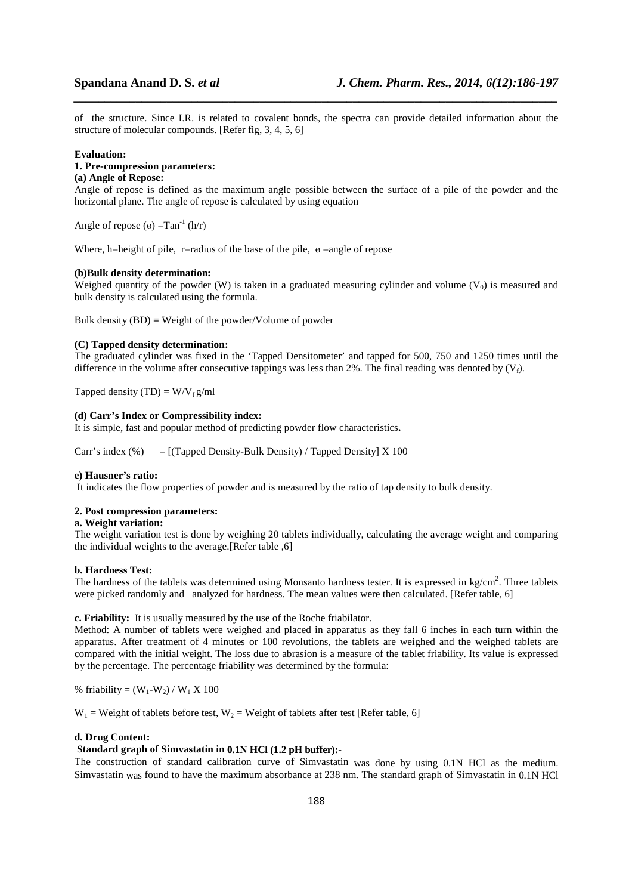of the structure. Since I.R. is related to covalent bonds, the spectra can provide detailed information about the structure of molecular compounds. [Refer fig, 3, 4, 5, 6]

*\_\_\_\_\_\_\_\_\_\_\_\_\_\_\_\_\_\_\_\_\_\_\_\_\_\_\_\_\_\_\_\_\_\_\_\_\_\_\_\_\_\_\_\_\_\_\_\_\_\_\_\_\_\_\_\_\_\_\_\_\_\_\_\_\_\_\_\_\_\_\_\_\_\_\_\_\_\_*

#### **Evaluation:**

#### **1. Pre-compression parameters: (a) Angle of Repose:**

Angle of repose is defined as the maximum angle possible between the surface of a pile of the powder and the horizontal plane. The angle of repose is calculated by using equation

Angle of repose ( $\Theta$ ) =Tan<sup>-1</sup> (h/r)

Where, h=height of pile, r=radius of the base of the pile,  $\theta$  =angle of repose

#### **(b)Bulk density determination:**

Weighed quantity of the powder (W) is taken in a graduated measuring cylinder and volume ( $V_0$ ) is measured and bulk density is calculated using the formula.

Bulk density (BD) **=** Weight of the powder/Volume of powder

# **(C) Tapped density determination:**

The graduated cylinder was fixed in the 'Tapped Densitometer' and tapped for 500, 750 and 1250 times until the difference in the volume after consecutive tappings was less than 2%. The final reading was denoted by  $(V_f)$ .

Tapped density (TD) =  $W/V_f g/ml$ 

# **(d) Carr's Index or Compressibility index:**

It is simple, fast and popular method of predicting powder flow characteristics**.** 

Carr's index  $(\%)$  = [(Tapped Density-Bulk Density) / Tapped Density] X 100

# **e) Hausner's ratio:**

It indicates the flow properties of powder and is measured by the ratio of tap density to bulk density.

## **2. Post compression parameters:**

### **a. Weight variation:**

The weight variation test is done by weighing 20 tablets individually, calculating the average weight and comparing the individual weights to the average.[Refer table ,6]

### **b. Hardness Test:**

The hardness of the tablets was determined using Monsanto hardness tester. It is expressed in  $kg/cm<sup>2</sup>$ . Three tablets were picked randomly and analyzed for hardness. The mean values were then calculated. [Refer table, 6]

# **c. Friability:** It is usually measured by the use of the Roche friabilator.

Method: A number of tablets were weighed and placed in apparatus as they fall 6 inches in each turn within the apparatus. After treatment of 4 minutes or 100 revolutions, the tablets are weighed and the weighed tablets are compared with the initial weight. The loss due to abrasion is a measure of the tablet friability. Its value is expressed by the percentage. The percentage friability was determined by the formula:

% friability =  $(W_1-W_2)/W_1 X 100$ 

 $W_1$  = Weight of tablets before test,  $W_2$  = Weight of tablets after test [Refer table, 6]

#### **d. Drug Content:**

# **Standard graph of Simvastatin in 0.1N HCl (1.2 pH buffer):-**

The construction of standard calibration curve of Simvastatin was done by using 0.1N HCl as the medium. Simvastatin was found to have the maximum absorbance at 238 nm. The standard graph of Simvastatin in 0.1N HCl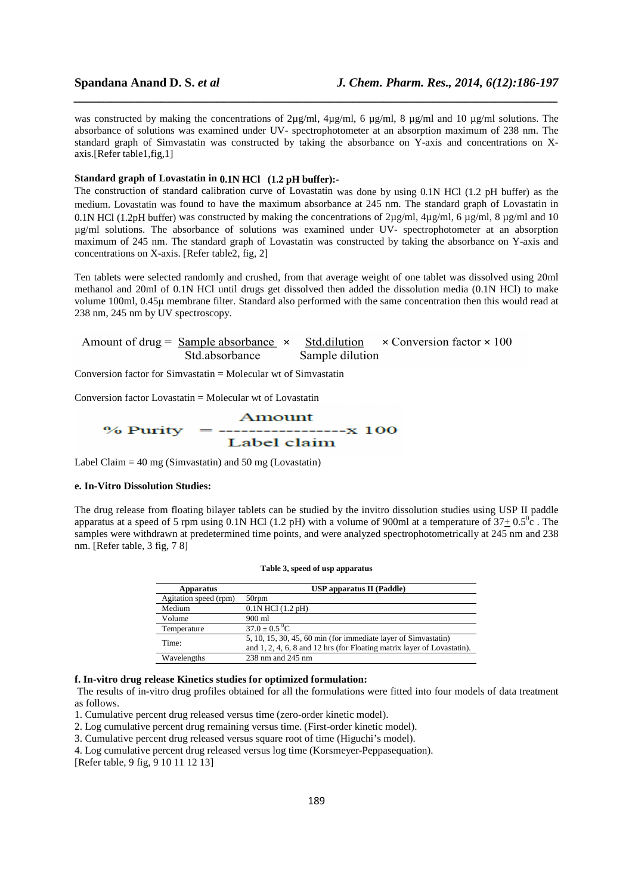was constructed by making the concentrations of 2µg/ml, 4µg/ml, 6 µg/ml, 8 µg/ml and 10 µg/ml solutions. The absorbance of solutions was examined under UV- spectrophotometer at an absorption maximum of 238 nm. The standard graph of Simvastatin was constructed by taking the absorbance on Y-axis and concentrations on Xaxis.[Refer table1,fig,1]

*\_\_\_\_\_\_\_\_\_\_\_\_\_\_\_\_\_\_\_\_\_\_\_\_\_\_\_\_\_\_\_\_\_\_\_\_\_\_\_\_\_\_\_\_\_\_\_\_\_\_\_\_\_\_\_\_\_\_\_\_\_\_\_\_\_\_\_\_\_\_\_\_\_\_\_\_\_\_*

# **Standard graph of Lovastatin in 0.1N HCl (1.2 pH buffer):-**

The construction of standard calibration curve of Lovastatin was done by using 0.1N HCl (1.2 pH buffer) as the medium. Lovastatin was found to have the maximum absorbance at 245 nm. The standard graph of Lovastatin in 0.1N HCl (1.2pH buffer) was constructed by making the concentrations of 2µg/ml, 4µg/ml, 6 µg/ml, 8 µg/ml and 10 µg/ml solutions. The absorbance of solutions was examined under UV- spectrophotometer at an absorption maximum of 245 nm. The standard graph of Lovastatin was constructed by taking the absorbance on Y-axis and concentrations on X-axis. [Refer table2, fig, 2]

Ten tablets were selected randomly and crushed, from that average weight of one tablet was dissolved using 20ml methanol and 20ml of 0.1N HCl until drugs get dissolved then added the dissolution media (0.1N HCl) to make volume 100ml, 0.45µ membrane filter. Standard also performed with the same concentration then this would read at 238 nm, 245 nm by UV spectroscopy.

Amount of drug =  $Sample$  absorbance  $\times$ Std.dilution  $\times$  Conversion factor  $\times$  100 Std.absorbance Sample dilution

Conversion factor for Simvastatin  $=$  Molecular wt of Simvastatin

Conversion factor Lovastatin  $=$  Molecular wt of Lovastatin

$$
\frac{\text{Amount}}{\text{/2414}} = \frac{\text{Amount}}{\text{Label claim}}
$$

Label Claim  $= 40$  mg (Simvastatin) and 50 mg (Lovastatin)

# **e. In-Vitro Dissolution Studies:**

The drug release from floating bilayer tablets can be studied by the invitro dissolution studies using USP II paddle apparatus at a speed of 5 rpm using 0.1N HCl (1.2 pH) with a volume of 900ml at a temperature of  $37+0.5^0$ c. The samples were withdrawn at predetermined time points, and were analyzed spectrophotometrically at 245 nm and 238 nm. [Refer table, 3 fig, 7 8]

| Apparatus             | <b>USP</b> apparatus II (Paddle)                                        |
|-----------------------|-------------------------------------------------------------------------|
| Agitation speed (rpm) | 50rpm                                                                   |
| Medium                | $0.1N$ HCl $(1.2$ pH $)$                                                |
| Volume                | 900 ml                                                                  |
| Temperature           | $37.0 + 0.5 \degree C$                                                  |
| Time:                 | $5, 10, 15, 30, 45, 60$ min (for immediate layer of Simvastatin)        |
|                       | and 1, 2, 4, 6, 8 and 12 hrs (for Floating matrix layer of Lovastatin). |
| Wavelengths           | 238 nm and 245 nm                                                       |

#### **Table 3, speed of usp apparatus**

**f. In-vitro drug release Kinetics studies for optimized formulation:** 

 The results of in-vitro drug profiles obtained for all the formulations were fitted into four models of data treatment as follows.

1. Cumulative percent drug released versus time (zero-order kinetic model).

2. Log cumulative percent drug remaining versus time. (First-order kinetic model).

3. Cumulative percent drug released versus square root of time (Higuchi's model).

4. Log cumulative percent drug released versus log time (Korsmeyer-Peppasequation).

[Refer table, 9 fig, 9 10 11 12 13]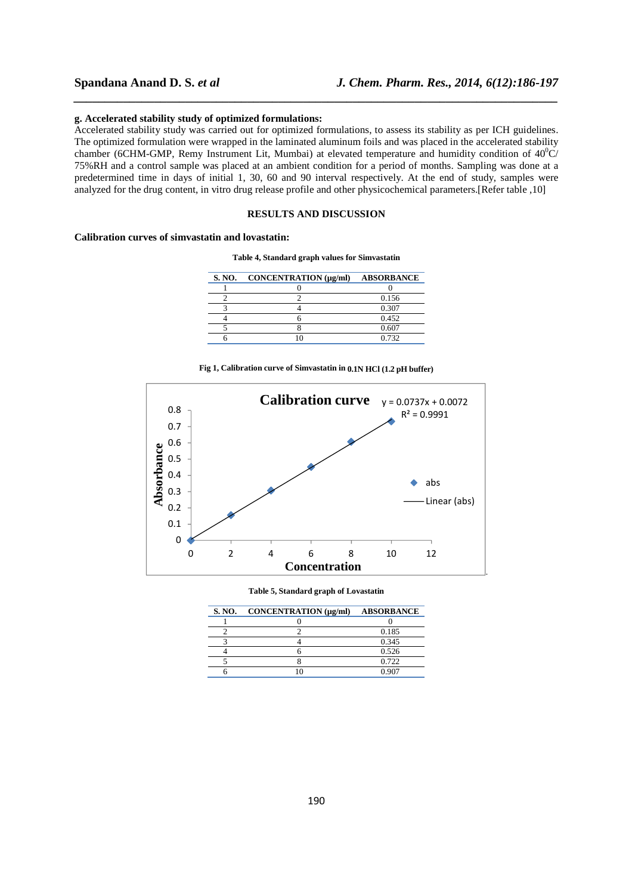### **g. Accelerated stability study of optimized formulations:**

Accelerated stability study was carried out for optimized formulations, to assess its stability as per ICH guidelines. The optimized formulation were wrapped in the laminated aluminum foils and was placed in the accelerated stability chamber (6CHM-GMP, Remy Instrument Lit, Mumbai) at elevated temperature and humidity condition of  $40^{\circ}$ C/ 75%RH and a control sample was placed at an ambient condition for a period of months. Sampling was done at a predetermined time in days of initial 1, 30, 60 and 90 interval respectively. At the end of study, samples were analyzed for the drug content, in vitro drug release profile and other physicochemical parameters.[Refer table ,10]

*\_\_\_\_\_\_\_\_\_\_\_\_\_\_\_\_\_\_\_\_\_\_\_\_\_\_\_\_\_\_\_\_\_\_\_\_\_\_\_\_\_\_\_\_\_\_\_\_\_\_\_\_\_\_\_\_\_\_\_\_\_\_\_\_\_\_\_\_\_\_\_\_\_\_\_\_\_\_*

# **RESULTS AND DISCUSSION**

# **Calibration curves of simvastatin and lovastatin:**

**Table 4, Standard graph values for Simvastatin** 

| <b>S. NO.</b> | CONCENTRATION (µg/ml) | <b>ABSORBANCE</b> |
|---------------|-----------------------|-------------------|
|               |                       |                   |
|               |                       | 0.156             |
|               |                       | 0.307             |
|               |                       | 0.452             |
|               |                       | 0.607             |
|               |                       | 0.732             |





**Table 5, Standard graph of Lovastatin** 

| <b>S. NO.</b> | CONCENTRATION (µg/ml) | <b>ABSORBANCE</b> |
|---------------|-----------------------|-------------------|
|               |                       |                   |
|               |                       | 0.185             |
|               |                       | 0.345             |
|               |                       | 0.526             |
|               |                       | 0.722             |
|               |                       | 0.907             |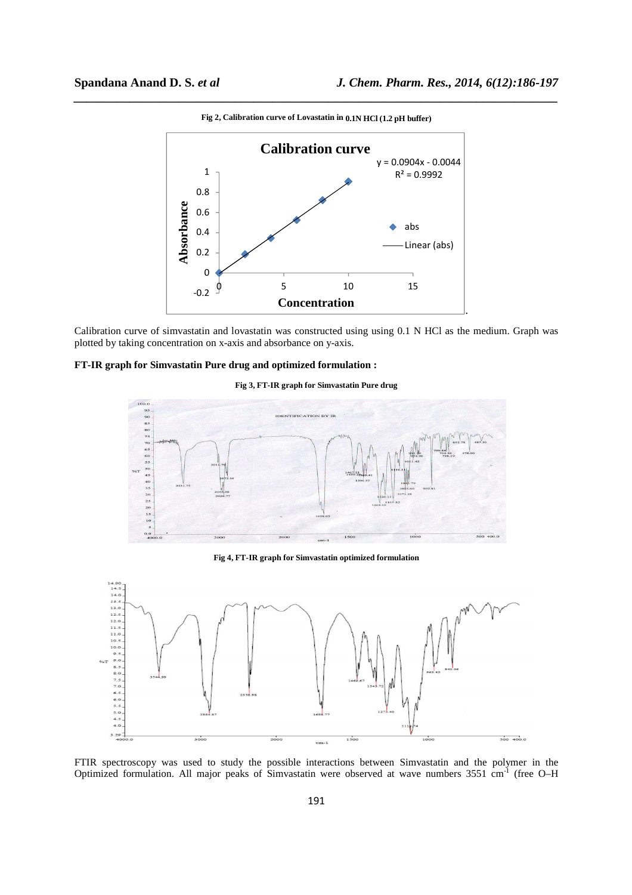

*\_\_\_\_\_\_\_\_\_\_\_\_\_\_\_\_\_\_\_\_\_\_\_\_\_\_\_\_\_\_\_\_\_\_\_\_\_\_\_\_\_\_\_\_\_\_\_\_\_\_\_\_\_\_\_\_\_\_\_\_\_\_\_\_\_\_\_\_\_\_\_\_\_\_\_\_\_\_* **Fig 2, Calibration curve of Lovastatin in 0.1N HCl (1.2 pH buffer)** 

Calibration curve of simvastatin and lovastatin was constructed using using 0.1 N HCl as the medium. Graph was plotted by taking concentration on x-axis and absorbance on y-axis.

# **FT-IR graph for Simvastatin Pure drug and optimized formulation :**

#### **Fig 3, FT-IR graph for Simvastatin Pure drug**



**Fig 4, FT-IR graph for Simvastatin optimized formulation** 



FTIR spectroscopy was used to study the possible interactions between Simvastatin and the polymer in the Optimized formulation. All major peaks of Simvastatin were observed at wave numbers 3551 cm-1 (free O–H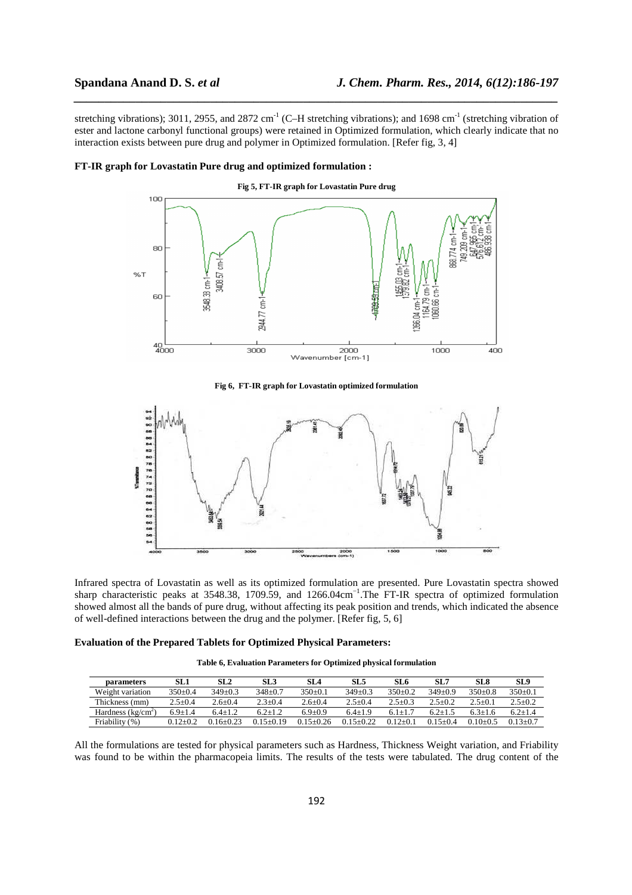stretching vibrations); 3011, 2955, and 2872 cm<sup>-1</sup> (C–H stretching vibrations); and 1698 cm<sup>-1</sup> (stretching vibration of ester and lactone carbonyl functional groups) were retained in Optimized formulation, which clearly indicate that no interaction exists between pure drug and polymer in Optimized formulation. [Refer fig, 3, 4]

*\_\_\_\_\_\_\_\_\_\_\_\_\_\_\_\_\_\_\_\_\_\_\_\_\_\_\_\_\_\_\_\_\_\_\_\_\_\_\_\_\_\_\_\_\_\_\_\_\_\_\_\_\_\_\_\_\_\_\_\_\_\_\_\_\_\_\_\_\_\_\_\_\_\_\_\_\_\_*



### **FT-IR graph for Lovastatin Pure drug and optimized formulation :**

**Fig 6, FT-IR graph for Lovastatin optimized formulation** 



Infrared spectra of Lovastatin as well as its optimized formulation are presented. Pure Lovastatin spectra showed sharp characteristic peaks at 3548.38, 1709.59, and 1266.04cm<sup>-1</sup>.The FT-IR spectra of optimized formulation showed almost all the bands of pure drug, without affecting its peak position and trends, which indicated the absence of well-defined interactions between the drug and the polymer. [Refer fig, 5, 6]

#### **Evaluation of the Prepared Tablets for Optimized Physical Parameters:**

| Table 6, Evaluation Parameters for Optimized physical formulation |  |  |
|-------------------------------------------------------------------|--|--|
|-------------------------------------------------------------------|--|--|

| parameters          | SL 1         | SL2           | SL 3        | SL <sub>4</sub> | SL5           | SL 6        | SL7          | SL 8         | SL <sub>9</sub> |
|---------------------|--------------|---------------|-------------|-----------------|---------------|-------------|--------------|--------------|-----------------|
| Weight variation    | $350+0.4$    | $349+0.3$     | $348+0.7$   | $350+0.1$       | $349+0.3$     | $350+0.2$   | $349+0.9$    | $350+0.8$    | $350+0.1$       |
| Thickness (mm)      | $2.5 + 0.4$  | $2.6 + 0.4$   | $2.3 + 0.4$ | $2.6 + 0.4$     | $2.5 + 0.4$   | $2.5 + 0.3$ | $2.5 + 0.2$  | $2.5+0.1$    | $2.5 \pm 0.2$   |
| Hardness $(kg/cm2)$ | $6.9+1.4$    | $64+12$       | $6.2 + 1.2$ | $6.9 + 0.9$     | $6.4 + 1.9$   | 6.1+1       | $62+15$      | 63+16        | $6.2 + 1.4$     |
| Friability (%)      | $0.12 + 0.2$ | $0.16 + 0.23$ | $15+0.19$   | $0.15 + 0.26$   | $0.15 + 0.22$ | $0.12+0.$   | $0.15 + 0.4$ | $0.10 + 0.5$ | $0.13 + 0.7$    |

All the formulations are tested for physical parameters such as Hardness, Thickness Weight variation, and Friability was found to be within the pharmacopeia limits. The results of the tests were tabulated. The drug content of the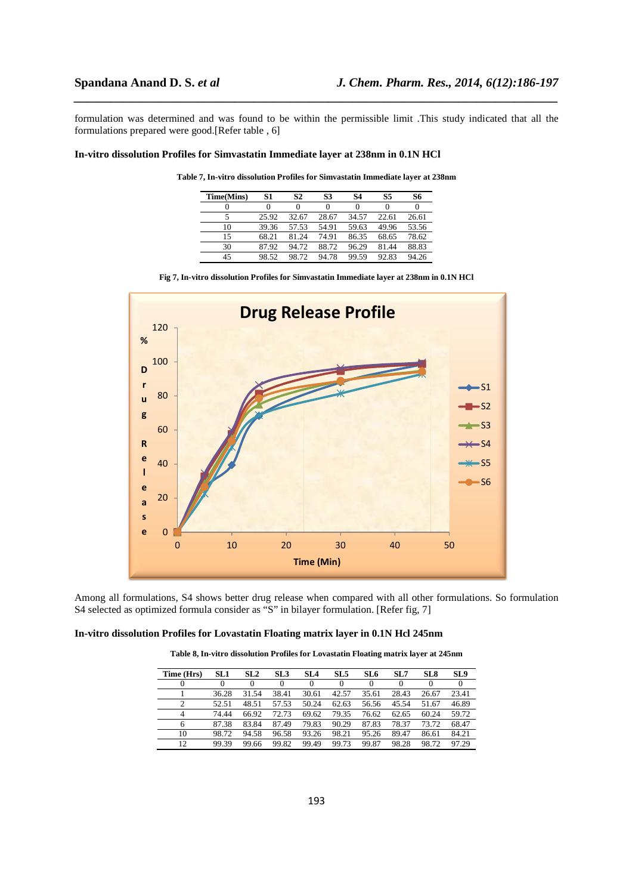formulation was determined and was found to be within the permissible limit .This study indicated that all the formulations prepared were good.[Refer table , 6]

*\_\_\_\_\_\_\_\_\_\_\_\_\_\_\_\_\_\_\_\_\_\_\_\_\_\_\_\_\_\_\_\_\_\_\_\_\_\_\_\_\_\_\_\_\_\_\_\_\_\_\_\_\_\_\_\_\_\_\_\_\_\_\_\_\_\_\_\_\_\_\_\_\_\_\_\_\_\_*

### **In-vitro dissolution Profiles for Simvastatin Immediate layer at 238nm in 0.1N HCl**

| Time(Mins) | S1    | S2    | S <sub>3</sub> | S4    | S5    | S6    |
|------------|-------|-------|----------------|-------|-------|-------|
|            |       |       |                |       |       |       |
|            | 25.92 | 32.67 | 28.67          | 34.57 | 22.61 | 26.61 |
| 10         | 39.36 | 57.53 | 54.91          | 59.63 | 49.96 | 53.56 |
| 15         | 68.21 | 81.24 | 74.91          | 86.35 | 68.65 | 78.62 |
| 30         | 87.92 | 94.72 | 88.72          | 96.29 | 81.44 | 88.83 |
| 45         | 98.52 | 98.72 | 94.78          | 99.59 | 92.83 | 94 26 |

**Table 7, In-vitro dissolution Profiles for Simvastatin Immediate layer at 238nm** 

|  |  |  | Fig 7, In-vitro dissolution Profiles for Simvastatin Immediate layer at 238nm in 0.1N HCl |  |  |  |
|--|--|--|-------------------------------------------------------------------------------------------|--|--|--|
|  |  |  |                                                                                           |  |  |  |



Among all formulations, S4 shows better drug release when compared with all other formulations. So formulation S4 selected as optimized formula consider as "S" in bilayer formulation. [Refer fig, 7]

# **In-vitro dissolution Profiles for Lovastatin Floating matrix layer in 0.1N Hcl 245nm**

| Time (Hrs) | <b>SL1</b> | SL <sub>2</sub> | SL <sub>3</sub> | SL <sub>4</sub> | SL5   | SL 6  | SL7   | SL <sub>8</sub> | SL <sub>9</sub> |
|------------|------------|-----------------|-----------------|-----------------|-------|-------|-------|-----------------|-----------------|
|            |            | 0               | 0               | 0               | 0     | 0     |       |                 |                 |
|            | 36.28      | 31.54           | 38.41           | 30.61           | 42.57 | 35.61 | 28.43 | 26.67           | 23.41           |
| 2          | 52.51      | 48.51           | 57.53           | 50.24           | 62.63 | 56.56 | 45.54 | 51.67           | 46.89           |
| 4          | 74.44      | 66.92           | 72.73           | 69.62           | 79.35 | 76.62 | 62.65 | 60.24           | 59.72           |
| 6          | 87.38      | 83.84           | 87.49           | 79.83           | 90.29 | 87.83 | 78.37 | 73.72           | 68.47           |
| 10         | 98.72      | 94.58           | 96.58           | 93.26           | 98.21 | 95.26 | 89.47 | 86.61           | 84.21           |
| 12         | 99.39      | 99.66           | 99.82           | 99.49           | 99.73 | 99.87 | 98.28 | 98.72           | 97.29           |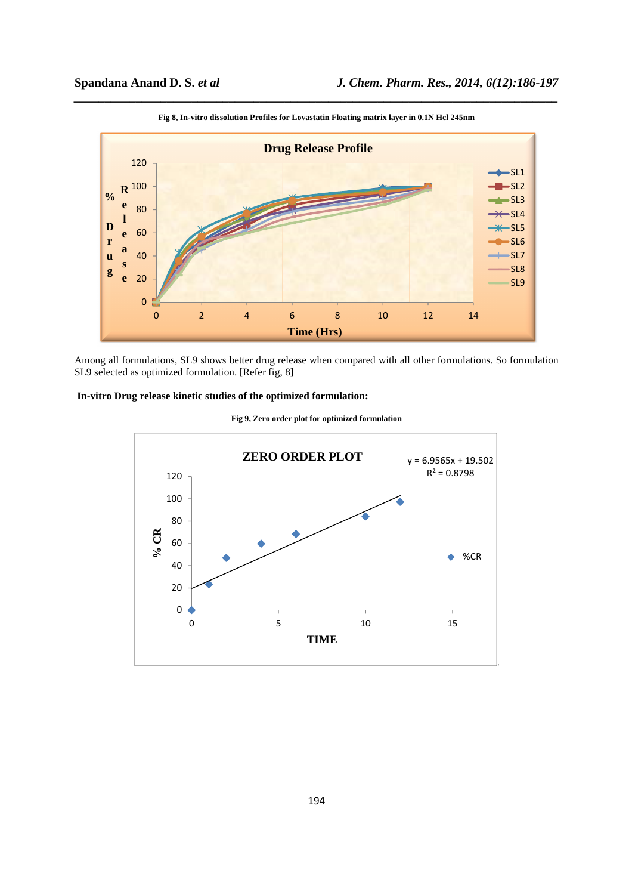

*\_\_\_\_\_\_\_\_\_\_\_\_\_\_\_\_\_\_\_\_\_\_\_\_\_\_\_\_\_\_\_\_\_\_\_\_\_\_\_\_\_\_\_\_\_\_\_\_\_\_\_\_\_\_\_\_\_\_\_\_\_\_\_\_\_\_\_\_\_\_\_\_\_\_\_\_\_\_* **Fig 8, In-vitro dissolution Profiles for Lovastatin Floating matrix layer in 0.1N Hcl 245nm** 

Among all formulations, SL9 shows better drug release when compared with all other formulations. So formulation SL9 selected as optimized formulation. [Refer fig, 8]

# **In-vitro Drug release kinetic studies of the optimized formulation:**



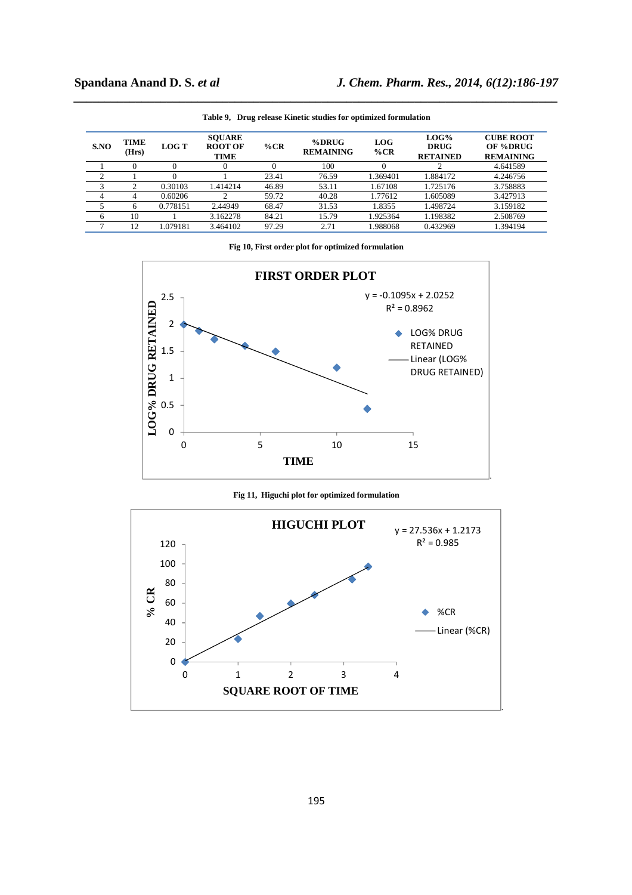| S.NO | TIME<br>(Hrs) | <b>LOG T</b> | <b>SOUARE</b><br><b>ROOT OF</b><br><b>TIME</b> | $\%$ CR  | $%$ DRUG<br><b>REMAINING</b> | LOG<br>$\%$ CR | $LOG\%$<br><b>DRUG</b><br><b>RETAINED</b> | <b>CUBE ROOT</b><br>OF %DRUG<br><b>REMAINING</b> |
|------|---------------|--------------|------------------------------------------------|----------|------------------------------|----------------|-------------------------------------------|--------------------------------------------------|
|      |               |              | 0                                              | $\theta$ | 100                          | $\theta$       |                                           | 4.641589                                         |
| ◠    |               |              |                                                | 23.41    | 76.59                        | 1.369401       | 1.884172                                  | 4.246756                                         |
|      |               | 0.30103      | 1.414214                                       | 46.89    | 53.11                        | 1.67108        | 1.725176                                  | 3.758883                                         |
| 4    | 4             | 0.60206      |                                                | 59.72    | 40.28                        | 1.77612        | 1.605089                                  | 3.427913                                         |
|      | h             | 0.778151     | 2.44949                                        | 68.47    | 31.53                        | 1.8355         | 1.498724                                  | 3.159182                                         |
| 6    | 10            |              | 3.162278                                       | 84.21    | 15.79                        | 1.925364       | 1.198382                                  | 2.508769                                         |
|      | 12            | .079181      | 3.464102                                       | 97.29    | 2.71                         | 1.988068       | 0.432969                                  | .394194                                          |

*\_\_\_\_\_\_\_\_\_\_\_\_\_\_\_\_\_\_\_\_\_\_\_\_\_\_\_\_\_\_\_\_\_\_\_\_\_\_\_\_\_\_\_\_\_\_\_\_\_\_\_\_\_\_\_\_\_\_\_\_\_\_\_\_\_\_\_\_\_\_\_\_\_\_\_\_\_\_* **Table 9, Drug release Kinetic studies for optimized formulation** 

**Fig 10, First order plot for optimized formulation** 



**Fig 11, Higuchi plot for optimized formulation** 

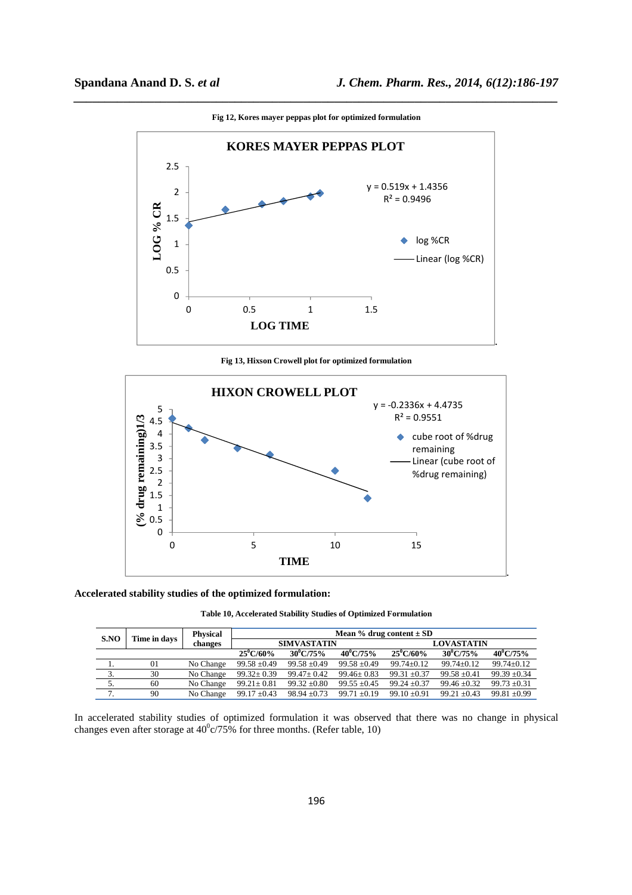

**Fig 12, Kores mayer peppas plot for optimized formulation** 

*\_\_\_\_\_\_\_\_\_\_\_\_\_\_\_\_\_\_\_\_\_\_\_\_\_\_\_\_\_\_\_\_\_\_\_\_\_\_\_\_\_\_\_\_\_\_\_\_\_\_\_\_\_\_\_\_\_\_\_\_\_\_\_\_\_\_\_\_\_\_\_\_\_\_\_\_\_\_*

**Fig 13, Hixson Crowell plot for optimized formulation** 



## **Accelerated stability studies of the optimized formulation:**

**Table 10, Accelerated Stability Studies of Optimized Formulation** 

| S.NO          | Time in days | <b>Physical</b> | Mean % drug content $\pm$ SD |                  |                    |                    |                |                    |
|---------------|--------------|-----------------|------------------------------|------------------|--------------------|--------------------|----------------|--------------------|
|               |              | changes         | <b>SIMVASTATIN</b>           |                  |                    | <b>LOVASTATIN</b>  |                |                    |
|               |              |                 | $25^{\circ}$ C/60%           | $30^0$ C/75%     | $40^{\circ}$ C/75% | $25^{\circ}$ C/60% | $30^0$ C/75%   | $40^{\circ}$ C/75% |
|               | 01           | No Change       | $99.58 \pm 0.49$             | $99.58 \pm 0.49$ | $99.58 \pm 0.49$   | $99.74 \pm 0.12$   | $99.74 + 0.12$ | $99.74 + 0.12$     |
|               | 30           | No Change       | $99.32 \pm 0.39$             | $99.47 \pm 0.42$ | $99.46 \pm 0.83$   | $99.31 + 0.37$     | $99.58 + 0.41$ | $99.39 + 0.34$     |
|               | 60           | No Change       | $99.21 \pm 0.81$             | $99.32 \pm 0.80$ | $99.55 \pm 0.45$   | $99.24 \pm 0.37$   | $99.46 + 0.32$ | $99.73 \pm 0.31$   |
| $\mathcal{I}$ | 90           | No Change       | $99.17 \pm 0.43$             | $98.94 \pm 0.73$ | 99.71 $\pm$ 0.19   | $99.10 \pm 0.91$   | $99.21 + 0.43$ | $99.81 + 0.99$     |

In accelerated stability studies of optimized formulation it was observed that there was no change in physical changes even after storage at  $40^{\circ}$  c/75% for three months. (Refer table, 10)